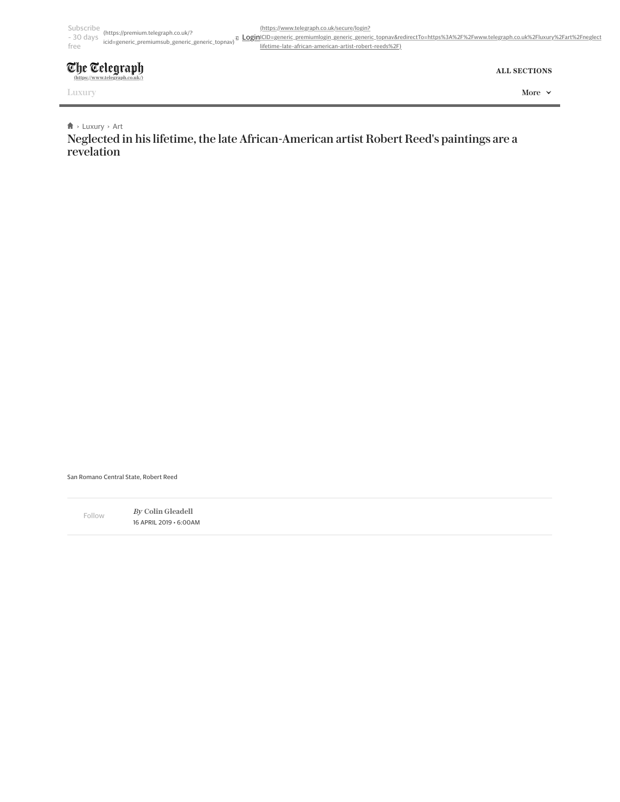## Subscribe (https://premium.telegraph.co.uk/? - 30 days <sup>v.v.</sup>premiumsub\_generic\_generic\_generic\_topnav)<sup>a</sup>l <u>Login[ICID=generic\\_premiumlogin\\_generic\\_generic\\_topnav&redirectTo=https%3A%2F%2Fwww.telegraph.co.uk%2Fluxury%2Fart%2Fneglect](https://www.telegraph.co.uk/secure/login?ICID=generic_premiumlogin_generic_generic_topnav&redirectTo=https%3A%2F%2Fwww.telegraph.co.uk%2Fluxury%2Fart%2Fneglected-lifetime-late-african-american-artist-robert-reeds%2F)<br>- ^</u> free

## The Telegraph **[\(https://www.telegraph.co.uk/\)](https://www.telegraph.co.uk/)**

**ALL SECTIONS**

## $\uparrow$  **>** [Luxury](https://www.telegraph.co.uk/luxury/) > [Art](https://www.telegraph.co.uk/luxury/art/)

Neglected in his lifetime, the late African-American artist Robert Reed's paintings are a revelation

(https://www.telegraph.co.uk/secure/login?

lifetime-late-african-american-artist-robert-reeds%2F)



San Romano Central State, Robert Reed

By **[Colin Gleadell](https://www.telegraph.co.uk/authors/colin-gleadell/)** 16 APRIL 2019 • 6:00AM Follow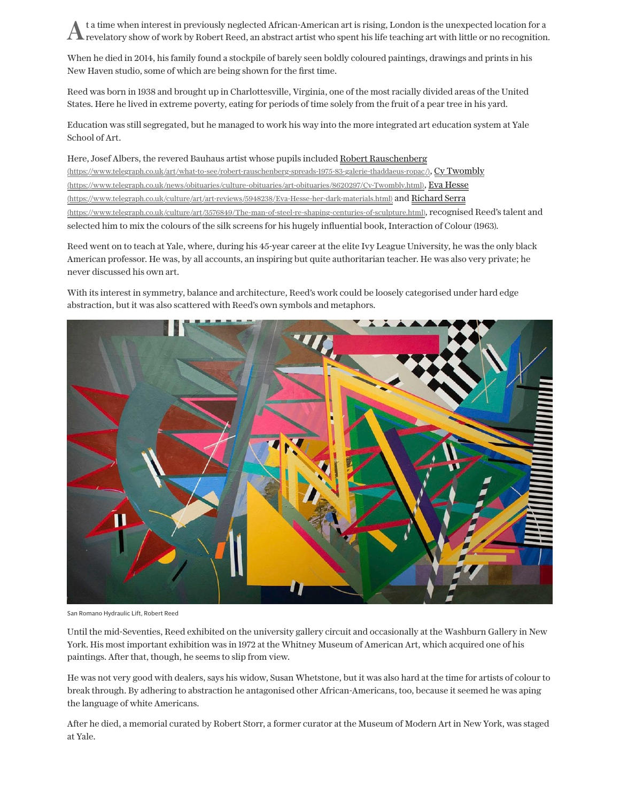At a time when interest in previously neglected African-American art is rising, London is the unexpected location for a revelatory show of work by Robert Reed, an abstract artist who spent his life teaching art with little or no recognition.

When he died in 2014, his family found a stockpile of barely seen boldly coloured paintings, drawings and prints in his New Haven studio, some of which are being shown for the first time.

Reed was born in 1938 and brought up in Charlottesville, Virginia, one of the most racially divided areas of the United States. Here he lived in extreme poverty, eating for periods of time solely from the fruit of a pear tree in his yard.

Education was still segregated, but he managed to work his way into the more integrated art education system at Yale School of Art.

Here, Josef Albers, the revered Bauhaus artist whose pupils included Robert Rauschenberg [\(https://www.telegraph.co.uk/art/what-to-see/robert-rauschenberg-spreads-1975-83-galerie-thaddaeus-ropac/\)](https://www.telegraph.co.uk/art/what-to-see/robert-rauschenberg-spreads-1975-83-galerie-thaddaeus-ropac/)[, Cy Twombly](https://www.telegraph.co.uk/news/obituaries/culture-obituaries/art-obituaries/8620297/Cy-Twombly.html) [\(https://www.telegraph.co.uk/news/obituaries/culture-obituaries/art-obituaries/8620297/Cy-Twombly.html\), Eva Hesse](https://www.telegraph.co.uk/culture/art/art-reviews/5948238/Eva-Hesse-her-dark-materials.html) [\(https://www.telegraph.co.uk/culture/art/art-reviews/5948238/Eva-Hesse-her-dark-materials.html\) and Richard Serra](https://www.telegraph.co.uk/culture/art/3576849/The-man-of-steel-re-shaping-centuries-of-sculpture.html) (https://www.telegraph.co.uk/culture/art/3576849/The-man-of-steel-re-shaping-centuries-of-sculpture.html), recognised Reed's talent and selected him to mix the colours of the silk screens for his hugely influential book, Interaction of Colour (1963).

Reed went on to teach at Yale, where, during his 45-year career at the elite Ivy League University, he was the only black American professor. He was, by all accounts, an inspiring but quite authoritarian teacher. He was also very private; he never discussed his own art.

With its interest in symmetry, balance and architecture, Reed's work could be loosely categorised under hard edge abstraction, but it was also scattered with Reed's own symbols and metaphors.



San Romano Hydraulic Lift, Robert Reed

Until the mid-Seventies, Reed exhibited on the university gallery circuit and occasionally at the Washburn Gallery in New York. His most important exhibition was in 1972 at the Whitney Museum of American Art, which acquired one of his paintings. After that, though, he seems to slip from view.

He was not very good with dealers, says his widow, Susan Whetstone, but it was also hard at the time for artists of colour to break through. By adhering to abstraction he antagonised other African-Americans, too, because it seemed he was aping the language of white Americans.

After he died, a memorial curated by Robert Storr, a former curator at the Museum of Modern Art in New York, was staged at Yale.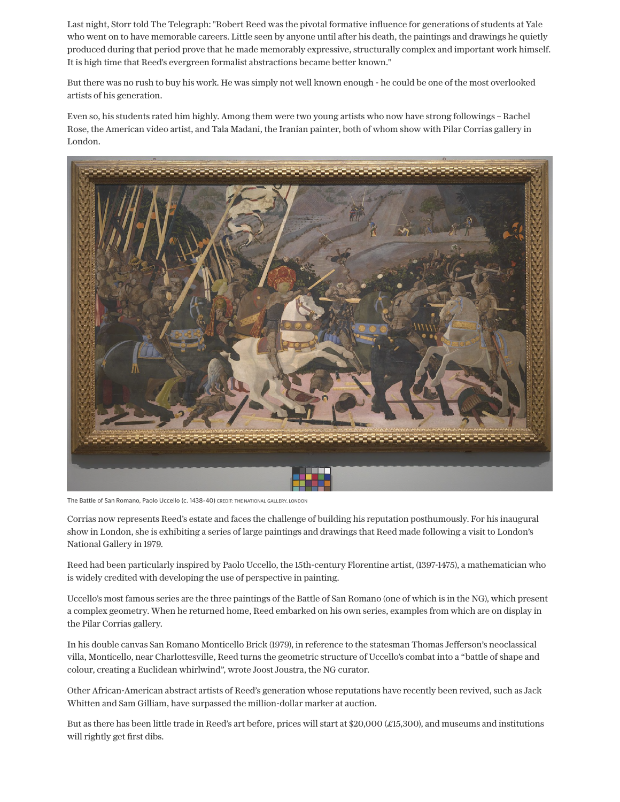Last night, Storr told The Telegraph: "Robert Reed was the pivotal formative influence for generations of students at Yale who went on to have memorable careers. Little seen by anyone until after his death, the paintings and drawings he quietly produced during that period prove that he made memorably expressive, structurally complex and important work himself. It is high time that Reed's evergreen formalist abstractions became better known."

But there was no rush to buy his work. He was simply not well known enough - he could be one of the most overlooked artists of his generation.

Even so, his students rated him highly. Among them were two young artists who now have strong followings – Rachel Rose, the American video artist, and Tala Madani, the Iranian painter, both of whom show with Pilar Corrias gallery in London.



The Battle of San Romano, Paolo Uccello (c. 1438-40) CREDIT: THE NATIONAL GALLERY, LONDON

Corrias now represents Reed's estate and faces the challenge of building his reputation posthumously. For his inaugural show in London, she is exhibiting a series of large paintings and drawings that Reed made following a visit to London's National Gallery in 1979.

Reed had been particularly inspired by Paolo Uccello, the 15th-century Florentine artist, (1397-1475), a mathematician who is widely credited with developing the use of perspective in painting.

Uccello's most famous series are the three paintings of the Battle of San Romano (one of which is in the NG), which present a complex geometry. When he returned home, Reed embarked on his own series, examples from which are on display in the Pilar Corrias gallery.

In his double canvas San Romano Monticello Brick (1979), in reference to the statesman Thomas Jefferson's neoclassical villa, Monticello, near Charlottesville, Reed turns the geometric structure of Uccello's combat into a "battle of shape and colour, creating a Euclidean whirlwind", wrote Joost Joustra, the NG curator.

Other African-American abstract artists of Reed's generation whose reputations have recently been revived, such as Jack Whitten and Sam Gilliam, have surpassed the million-dollar marker at auction.

But as there has been little trade in Reed's art before, prices will start at \$20,000 (£15,300), and museums and institutions will rightly get first dibs.